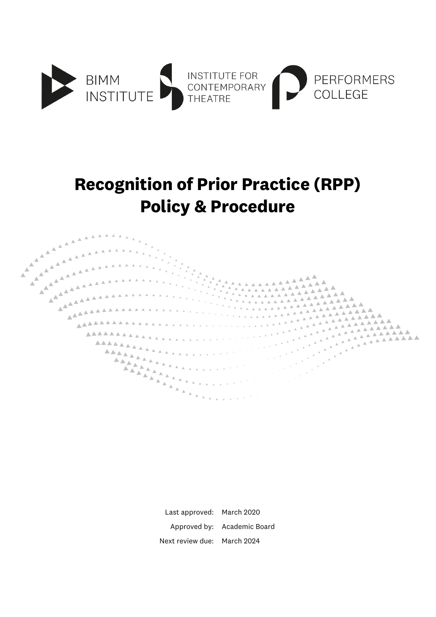

## **Recognition of Prior Practice (RPP) Policy & Procedure**



Last approved: March 2020 Approved by: Academic Board Next review due: March 2024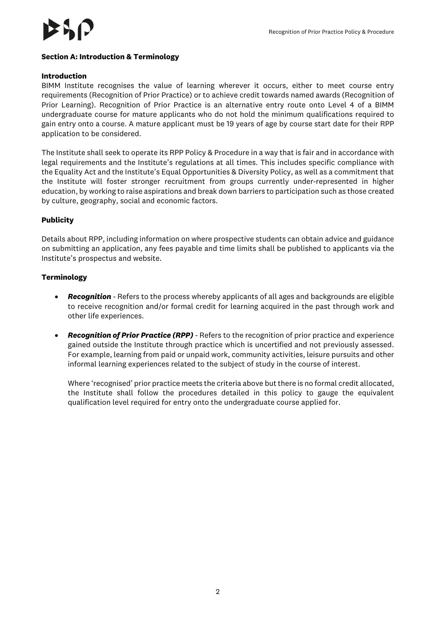#### **Section A: Introduction & Terminology**

#### **Introduction**

BIMM Institute recognises the value of learning wherever it occurs, either to meet course entry requirements (Recognition of Prior Practice) or to achieve credit towards named awards (Recognition of Prior Learning). Recognition of Prior Practice is an alternative entry route onto Level 4 of a BIMM undergraduate course for mature applicants who do not hold the minimum qualifications required to gain entry onto a course. A mature applicant must be 19 years of age by course start date for their RPP application to be considered.

The Institute shall seek to operate its RPP Policy & Procedure in a way that is fair and in accordance with legal requirements and the Institute's regulations at all times. This includes specific compliance with the Equality Act and the Institute's Equal Opportunities & Diversity Policy, as well as a commitment that the Institute will foster stronger recruitment from groups currently under-represented in higher education, by working to raise aspirations and break down barriers to participation such as those created by culture, geography, social and economic factors.

#### **Publicity**

Details about RPP, including information on where prospective students can obtain advice and guidance on submitting an application, any fees payable and time limits shall be published to applicants via the Institute's prospectus and website.

#### **Terminology**

- *Recognition -* Refers to the process whereby applicants of all ages and backgrounds are eligible to receive recognition and/or formal credit for learning acquired in the past through work and other life experiences.
- *Recognition of Prior Practice (RPP) -* Refers to the recognition of prior practice and experience gained outside the Institute through practice which is uncertified and not previously assessed. For example, learning from paid or unpaid work, community activities, leisure pursuits and other informal learning experiences related to the subject of study in the course of interest.

Where 'recognised' prior practice meets the criteria above but there is no formal credit allocated, the Institute shall follow the procedures detailed in this policy to gauge the equivalent qualification level required for entry onto the undergraduate course applied for.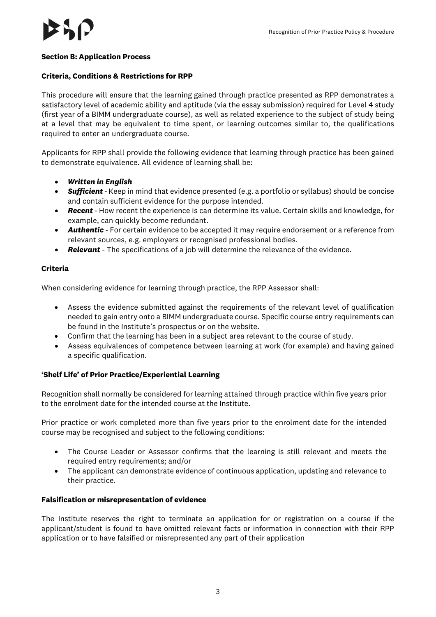#### **Section B: Application Process**

#### **Criteria, Conditions & Restrictions for RPP**

This procedure will ensure that the learning gained through practice presented as RPP demonstrates a satisfactory level of academic ability and aptitude (via the essay submission) required for Level 4 study (first year of a BIMM undergraduate course), as well as related experience to the subject of study being at a level that may be equivalent to time spent, or learning outcomes similar to, the qualifications required to enter an undergraduate course.

Applicants for RPP shall provide the following evidence that learning through practice has been gained to demonstrate equivalence. All evidence of learning shall be:

- *Written in English*
- *Sufficient -* Keep in mind that evidence presented (e.g. a portfolio or syllabus) should be concise and contain sufficient evidence for the purpose intended.
- *Recent -* How recent the experience is can determine its value. Certain skills and knowledge, for example, can quickly become redundant.
- *Authentic -* For certain evidence to be accepted it may require endorsement or a reference from relevant sources, e.g. employers or recognised professional bodies.
- *Relevant -* The specifications of a job will determine the relevance of the evidence.

### **Criteria**

When considering evidence for learning through practice, the RPP Assessor shall:

- Assess the evidence submitted against the requirements of the relevant level of qualification needed to gain entry onto a BIMM undergraduate course. Specific course entry requirements can be found in the Institute's prospectus or on the website.
- Confirm that the learning has been in a subject area relevant to the course of study.
- Assess equivalences of competence between learning at work (for example) and having gained a specific qualification.

### **'Shelf Life' of Prior Practice/Experiential Learning**

Recognition shall normally be considered for learning attained through practice within five years prior to the enrolment date for the intended course at the Institute.

Prior practice or work completed more than five years prior to the enrolment date for the intended course may be recognised and subject to the following conditions:

- The Course Leader or Assessor confirms that the learning is still relevant and meets the required entry requirements; and/or
- The applicant can demonstrate evidence of continuous application, updating and relevance to their practice.

#### **Falsification or misrepresentation of evidence**

The Institute reserves the right to terminate an application for or registration on a course if the applicant/student is found to have omitted relevant facts or information in connection with their RPP application or to have falsified or misrepresented any part of their application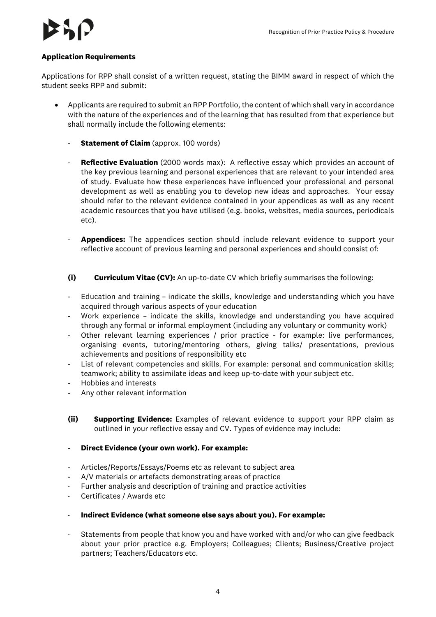

### **Application Requirements**

Applications for RPP shall consist of a written request, stating the BIMM award in respect of which the student seeks RPP and submit:

- Applicants are required to submit an RPP Portfolio, the content of which shall vary in accordance with the nature of the experiences and of the learning that has resulted from that experience but shall normally include the following elements:
	- **Statement of Claim** (approx. 100 words)
	- **Reflective Evaluation** (2000 words max): A reflective essay which provides an account of the key previous learning and personal experiences that are relevant to your intended area of study. Evaluate how these experiences have influenced your professional and personal development as well as enabling you to develop new ideas and approaches. Your essay should refer to the relevant evidence contained in your appendices as well as any recent academic resources that you have utilised (e.g. books, websites, media sources, periodicals etc).
	- Appendices: The appendices section should include relevant evidence to support your reflective account of previous learning and personal experiences and should consist of:
	- **(i) Curriculum Vitae (CV):** An up-to-date CV which briefly summarises the following:
	- Education and training indicate the skills, knowledge and understanding which you have acquired through various aspects of your education
	- Work experience indicate the skills, knowledge and understanding you have acquired through any formal or informal employment (including any voluntary or community work)
	- Other relevant learning experiences / prior practice for example: live performances, organising events, tutoring/mentoring others, giving talks/ presentations, previous achievements and positions of responsibility etc
	- List of relevant competencies and skills. For example: personal and communication skills; teamwork; ability to assimilate ideas and keep up-to-date with your subject etc.
	- Hobbies and interests
	- Any other relevant information
	- **(ii) Supporting Evidence:** Examples of relevant evidence to support your RPP claim as outlined in your reflective essay and CV. Types of evidence may include:
	- **Direct Evidence (your own work). For example:**
	- Articles/Reports/Essays/Poems etc as relevant to subject area
	- A/V materials or artefacts demonstrating areas of practice
	- Further analysis and description of training and practice activities<br>- Certificates / Awards etc
	- Certificates / Awards etc
	- **Indirect Evidence (what someone else says about you). For example:**
	- Statements from people that know you and have worked with and/or who can give feedback about your prior practice e.g. Employers; Colleagues; Clients; Business/Creative project partners; Teachers/Educators etc.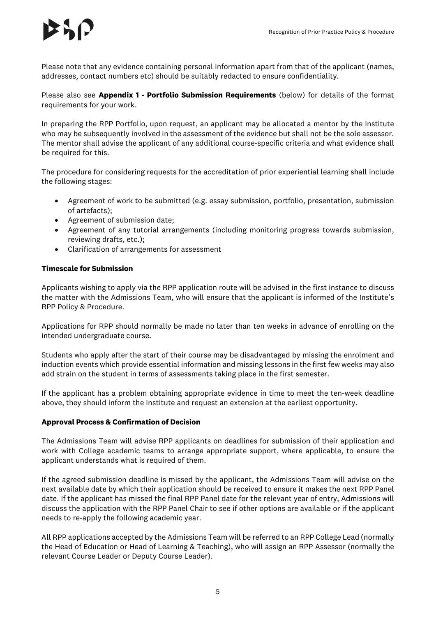Please note that any evidence containing personal information apart from that of the applicant (names, addresses, contact numbers etc) should be suitably redacted to ensure confidentiality.

Please also see **Appendix 1 - Portfolio Submission Requirements** (below) for details of the format requirements for your work.

In preparing the RPP Portfolio, upon request, an applicant may be allocated a mentor by the Institute who may be subsequently involved in the assessment of the evidence but shall not be the sole assessor. The mentor shall advise the applicant of any additional course-specific criteria and what evidence shall be required for this.

The procedure for considering requests for the accreditation of prior experiential learning shall include the following stages:

- Agreement of work to be submitted (e.g. essay submission, portfolio, presentation, submission of artefacts);
- Agreement of submission date;
- Agreement of any tutorial arrangements (including monitoring progress towards submission, reviewing drafts, etc.);
- Clarification of arrangements for assessment

## **Timescale for Submission**

Applicants wishing to apply via the RPP application route will be advised in the first instance to discuss the matter with the Admissions Team, who will ensure that the applicant is informed of the Institute's RPP Policy & Procedure.

Applications for RPP should normally be made no later than ten weeks in advance of enrolling on the intended undergraduate course.

Students who apply after the start of their course may be disadvantaged by missing the enrolment and induction events which provide essential information and missing lessons in the first few weeks may also add strain on the student in terms of assessments taking place in the first semester.

If the applicant has a problem obtaining appropriate evidence in time to meet the ten-week deadline above, they should inform the Institute and request an extension at the earliest opportunity.

### **Approval Process & Confirmation of Decision**

The Admissions Team will advise RPP applicants on deadlines for submission of their application and work with College academic teams to arrange appropriate support, where applicable, to ensure the applicant understands what is required of them.

If the agreed submission deadline is missed by the applicant, the Admissions Team will advise on the next available date by which their application should be received to ensure it makes the next RPP Panel date. If the applicant has missed the final RPP Panel date for the relevant year of entry, Admissions will discuss the application with the RPP Panel Chair to see if other options are available or if the applicant needs to re-apply the following academic year.

All RPP applications accepted by the Admissions Team will be referred to an RPP College Lead (normally the Head of Education or Head of Learning & Teaching), who will assign an RPP Assessor (normally the relevant Course Leader or Deputy Course Leader).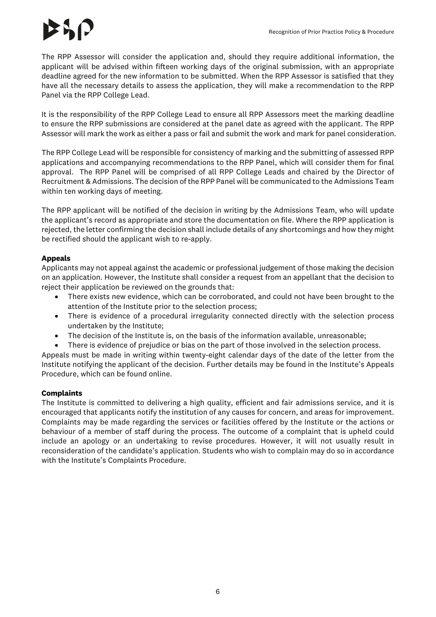The RPP Assessor will consider the application and, should they require additional information, the applicant will be advised within fifteen working days of the original submission, with an appropriate deadline agreed for the new information to be submitted. When the RPP Assessor is satisfied that they have all the necessary details to assess the application, they will make a recommendation to the RPP Panel via the RPP College Lead.

It is the responsibility of the RPP College Lead to ensure all RPP Assessors meet the marking deadline to ensure the RPP submissions are considered at the panel date as agreed with the applicant. The RPP Assessor will mark the work as either a pass or fail and submit the work and mark for panel consideration.

The RPP College Lead will be responsible for consistency of marking and the submitting of assessed RPP applications and accompanying recommendations to the RPP Panel, which will consider them for final approval. The RPP Panel will be comprised of all RPP College Leads and chaired by the Director of Recruitment & Admissions. The decision of the RPP Panel will be communicated to the Admissions Team within ten working days of meeting.

The RPP applicant will be notified of the decision in writing by the Admissions Team, who will update the applicant's record as appropriate and store the documentation on file. Where the RPP application is rejected, the letter confirming the decision shall include details of any shortcomings and how they might be rectified should the applicant wish to re-apply.

## **Appeals**

Applicants may not appeal against the academic or professional judgement of those making the decision on an application. However, the Institute shall consider a request from an appellant that the decision to reject their application be reviewed on the grounds that:

- There exists new evidence, which can be corroborated, and could not have been brought to the attention of the Institute prior to the selection process;
- There is evidence of a procedural irregularity connected directly with the selection process undertaken by the Institute;
- The decision of the Institute is, on the basis of the information available, unreasonable;
- There is evidence of prejudice or bias on the part of those involved in the selection process.

Appeals must be made in writing within twenty-eight calendar days of the date of the letter from the Institute notifying the applicant of the decision. Further details may be found in the Institute's Appeals Procedure, which can be found online.

### **Complaints**

The Institute is committed to delivering a high quality, efficient and fair admissions service, and it is encouraged that applicants notify the institution of any causes for concern, and areas for improvement. Complaints may be made regarding the services or facilities offered by the Institute or the actions or behaviour of a member of staff during the process. The outcome of a complaint that is upheld could include an apology or an undertaking to revise procedures. However, it will not usually result in reconsideration of the candidate's application. Students who wish to complain may do so in accordance with the Institute's Complaints Procedure.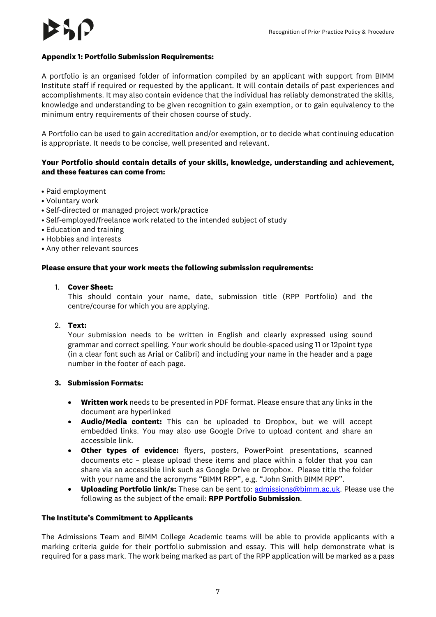### **Appendix 1: Portfolio Submission Requirements:**

A portfolio is an organised folder of information compiled by an applicant with support from BIMM Institute staff if required or requested by the applicant. It will contain details of past experiences and accomplishments. It may also contain evidence that the individual has reliably demonstrated the skills, knowledge and understanding to be given recognition to gain exemption, or to gain equivalency to the minimum entry requirements of their chosen course of study.

A Portfolio can be used to gain accreditation and/or exemption, or to decide what continuing education is appropriate. It needs to be concise, well presented and relevant.

## **Your Portfolio should contain details of your skills, knowledge, understanding and achievement, and these features can come from:**

- Paid employment
- Voluntary work
- Self-directed or managed project work/practice
- Self-employed/freelance work related to the intended subject of study
- Education and training
- Hobbies and interests
- Any other relevant sources

#### **Please ensure that your work meets the following submission requirements:**

#### 1. **Cover Sheet:**

This should contain your name, date, submission title (RPP Portfolio) and the centre/course for which you are applying.

2. **Text:**

Your submission needs to be written in English and clearly expressed using sound grammar and correct spelling. Your work should be double-spaced using 11 or 12point type (in a clear font such as Arial or Calibri) and including your name in the header and a page number in the footer of each page.

### **3. Submission Formats:**

- **Written work** needs to be presented in PDF format. Please ensure that any links in the document are hyperlinked
- **Audio/Media content:** This can be uploaded to Dropbox, but we will accept embedded links. You may also use Google Drive to upload content and share an accessible link.
- **Other types of evidence:** flyers, posters, PowerPoint presentations, scanned documents etc – please upload these items and place within a folder that you can share via an accessible link such as Google Drive or Dropbox. Please title the folder with your name and the acronyms "BIMM RPP", e.g. "John Smith BIMM RPP".
- **Uploading Portfolio link/s:** These can be sent to: [admissions@bimm.ac.uk.](mailto:admissions@bimm.ac.uk) Please use the following as the subject of the email: **RPP Portfolio Submission**.

#### **The Institute's Commitment to Applicants**

The Admissions Team and BIMM College Academic teams will be able to provide applicants with a marking criteria guide for their portfolio submission and essay. This will help demonstrate what is required for a pass mark. The work being marked as part of the RPP application will be marked as a pass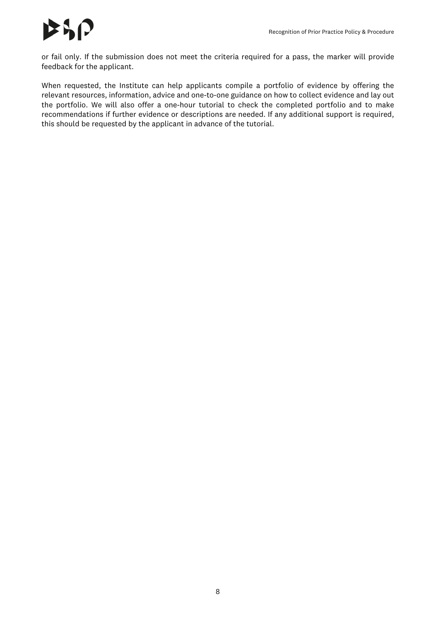# とりい

or fail only. If the submission does not meet the criteria required for a pass, the marker will provide feedback for the applicant.

When requested, the Institute can help applicants compile a portfolio of evidence by offering the relevant resources, information, advice and one-to-one guidance on how to collect evidence and lay out the portfolio. We will also offer a one-hour tutorial to check the completed portfolio and to make recommendations if further evidence or descriptions are needed. If any additional support is required, this should be requested by the applicant in advance of the tutorial.